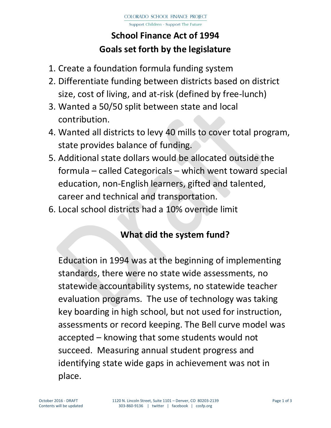Support Children - Support The Future

# **School Finance Act of 1994 Goals set forth by the legislature**

- 1. Create a foundation formula funding system
- 2. Differentiate funding between districts based on district size, cost of living, and at-risk (defined by free-lunch)
- 3. Wanted a 50/50 split between state and local contribution.
- 4. Wanted all districts to levy 40 mills to cover total program, state provides balance of funding.
- 5. Additional state dollars would be allocated outside the formula – called Categoricals – which went toward special education, non-English learners, gifted and talented, career and technical and transportation.
- 6. Local school districts had a 10% override limit

### **What did the system fund?**

Education in 1994 was at the beginning of implementing standards, there were no state wide assessments, no statewide accountability systems, no statewide teacher evaluation programs. The use of technology was taking key boarding in high school, but not used for instruction, assessments or record keeping. The Bell curve model was accepted – knowing that some students would not succeed. Measuring annual student progress and identifying state wide gaps in achievement was not in place.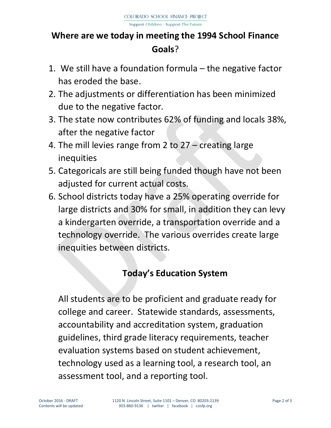## **Where are we today in meeting the 1994 School Finance Goals**?

- 1. We still have a foundation formula the negative factor has eroded the base.
- 2. The adjustments or differentiation has been minimized due to the negative factor.
- 3. The state now contributes 62% of funding and locals 38%, after the negative factor
- 4. The mill levies range from 2 to 27 creating large inequities
- 5. Categoricals are still being funded though have not been adjusted for current actual costs.
- 6. School districts today have a 25% operating override for large districts and 30% for small, in addition they can levy a kindergarten override, a transportation override and a technology override. The various overrides create large inequities between districts.

### **Today's Education System**

All students are to be proficient and graduate ready for college and career. Statewide standards, assessments, accountability and accreditation system, graduation guidelines, third grade literacy requirements, teacher evaluation systems based on student achievement, technology used as a learning tool, a research tool, an assessment tool, and a reporting tool.